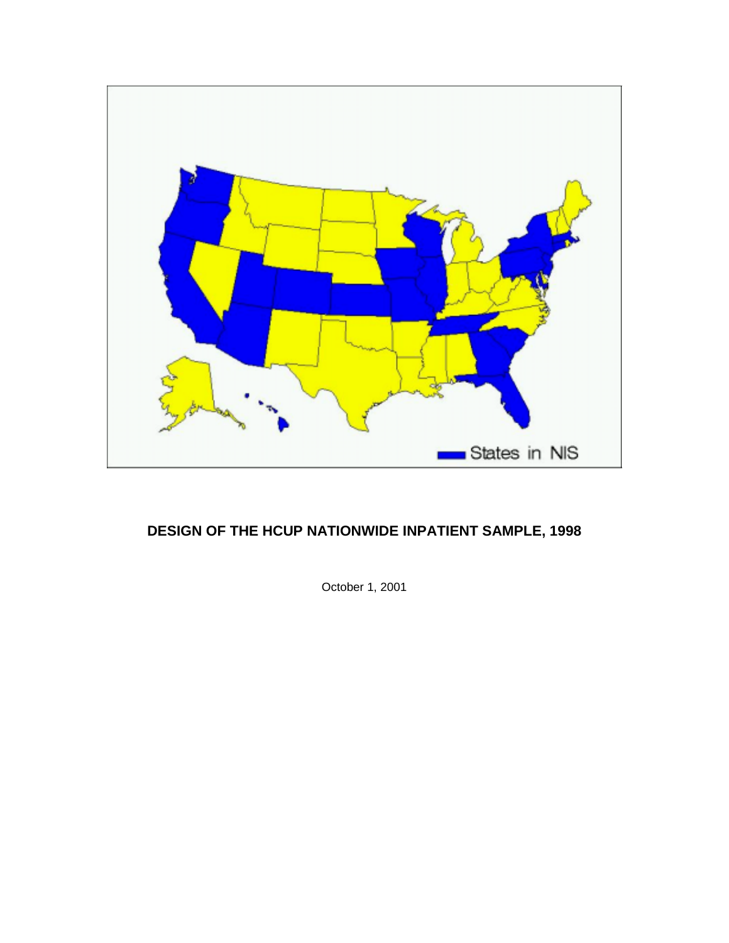

# **DESIGN OF THE HCUP NATIONWIDE INPATIENT SAMPLE, 1998**

October 1, 2001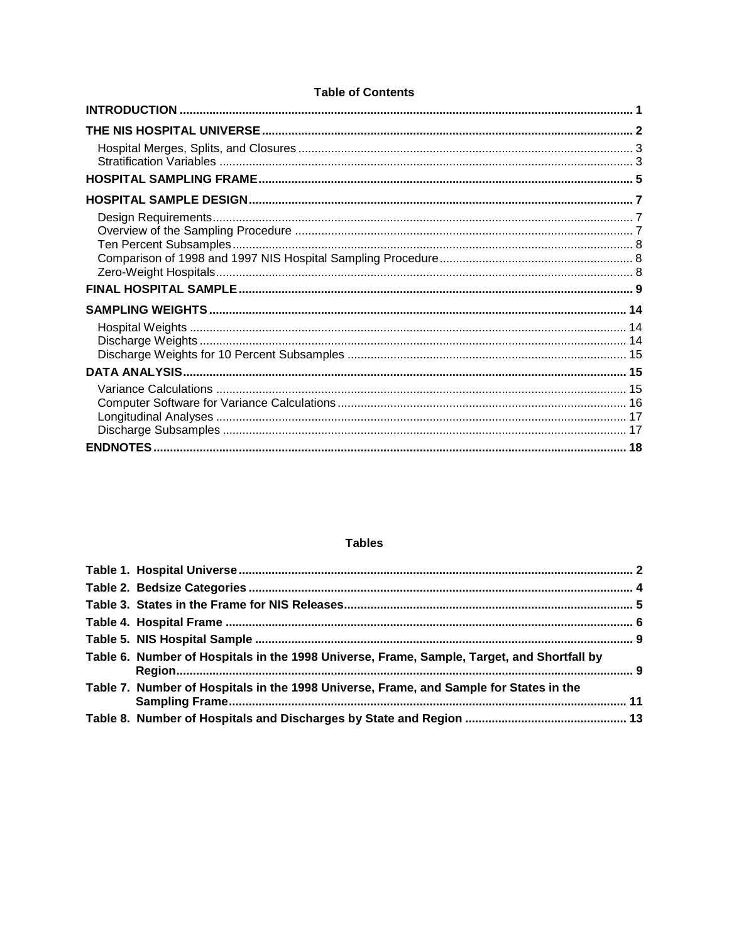### **Tables**

| Table 6. Number of Hospitals in the 1998 Universe, Frame, Sample, Target, and Shortfall by |  |
|--------------------------------------------------------------------------------------------|--|
| Table 7. Number of Hospitals in the 1998 Universe, Frame, and Sample for States in the     |  |
|                                                                                            |  |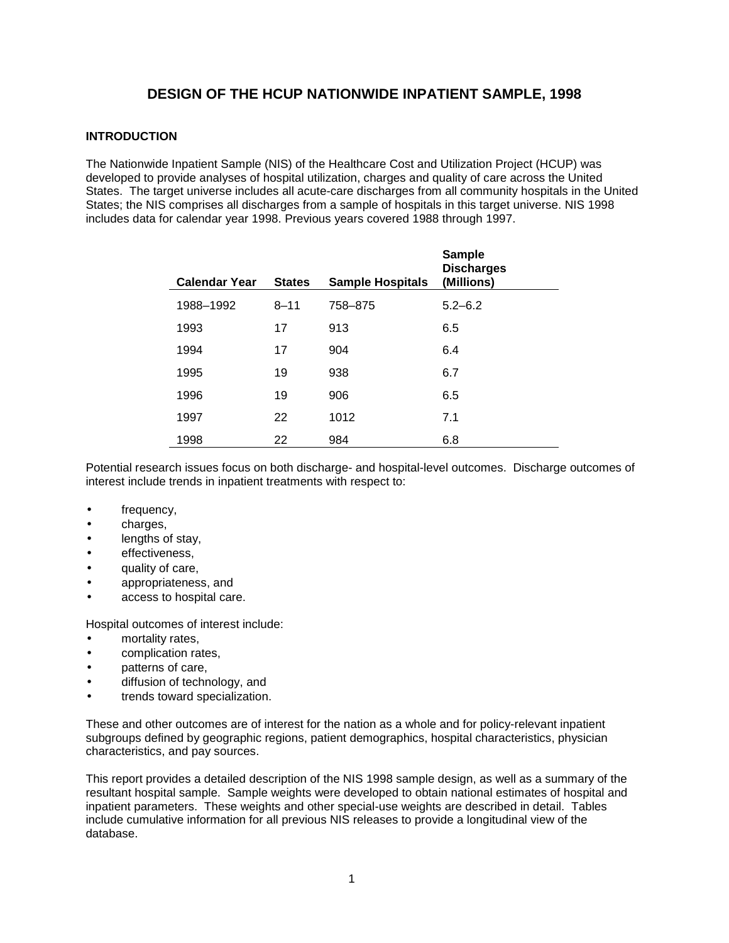# **DESIGN OF THE HCUP NATIONWIDE INPATIENT SAMPLE, 1998**

## **INTRODUCTION**

The Nationwide Inpatient Sample (NIS) of the Healthcare Cost and Utilization Project (HCUP) was developed to provide analyses of hospital utilization, charges and quality of care across the United States. The target universe includes all acute-care discharges from all community hospitals in the United States; the NIS comprises all discharges from a sample of hospitals in this target universe. NIS 1998 includes data for calendar year 1998. Previous years covered 1988 through 1997.

| <b>Calendar Year</b> | <b>States</b> | <b>Sample Hospitals</b> | <b>Sample</b><br><b>Discharges</b><br>(Millions) |
|----------------------|---------------|-------------------------|--------------------------------------------------|
| 1988-1992            | $8 - 11$      | 758-875                 | $5.2 - 6.2$                                      |
| 1993                 | 17            | 913                     | 6.5                                              |
| 1994                 | 17            | 904                     | 6.4                                              |
| 1995                 | 19            | 938                     | 6.7                                              |
| 1996                 | 19            | 906                     | 6.5                                              |
| 1997                 | 22            | 1012                    | 7.1                                              |
| 1998                 | 22            | 984                     | 6.8                                              |

Potential research issues focus on both discharge- and hospital-level outcomes. Discharge outcomes of interest include trends in inpatient treatments with respect to:

- frequency,
- charges,
- lengths of stay,
- effectiveness.
- quality of care,
- appropriateness, and
- access to hospital care.

Hospital outcomes of interest include:

- mortality rates,
- complication rates,
- patterns of care,
- diffusion of technology, and
- trends toward specialization.

These and other outcomes are of interest for the nation as a whole and for policy-relevant inpatient subgroups defined by geographic regions, patient demographics, hospital characteristics, physician characteristics, and pay sources.

This report provides a detailed description of the NIS 1998 sample design, as well as a summary of the resultant hospital sample. Sample weights were developed to obtain national estimates of hospital and inpatient parameters. These weights and other special-use weights are described in detail. Tables include cumulative information for all previous NIS releases to provide a longitudinal view of the database.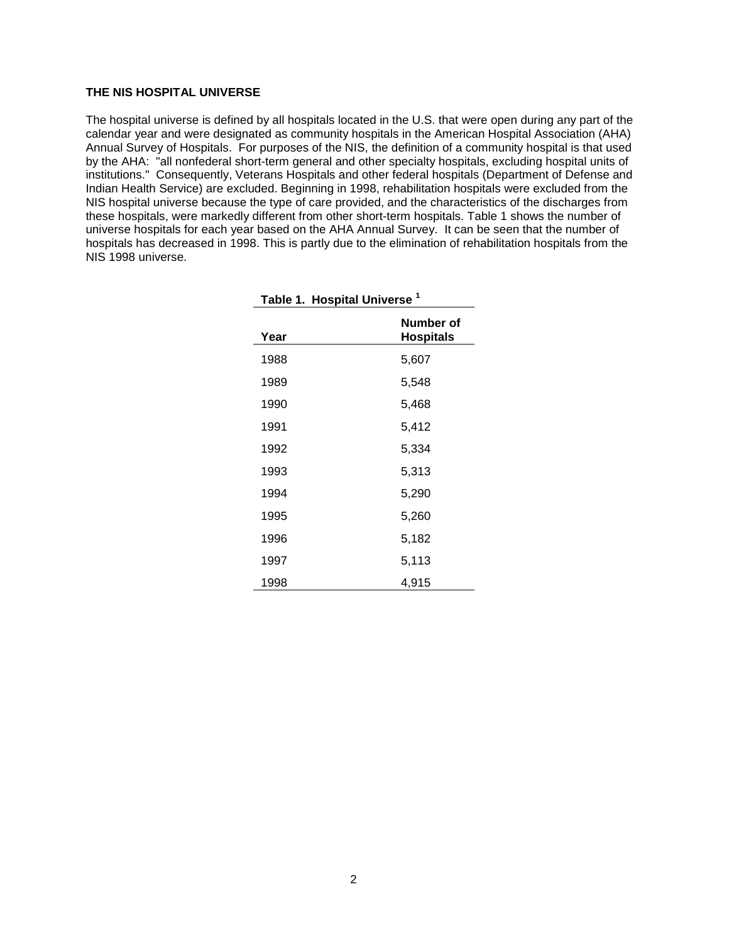#### **THE NIS HOSPITAL UNIVERSE**

The hospital universe is defined by all hospitals located in the U.S. that were open during any part of the calendar year and were designated as community hospitals in the American Hospital Association (AHA) Annual Survey of Hospitals. For purposes of the NIS, the definition of a community hospital is that used by the AHA: "all nonfederal short-term general and other specialty hospitals, excluding hospital units of institutions." Consequently, Veterans Hospitals and other federal hospitals (Department of Defense and Indian Health Service) are excluded. Beginning in 1998, rehabilitation hospitals were excluded from the NIS hospital universe because the type of care provided, and the characteristics of the discharges from these hospitals, were markedly different from other short-term hospitals. Table 1 shows the number of universe hospitals for each year based on the AHA Annual Survey. It can be seen that the number of hospitals has decreased in 1998. This is partly due to the elimination of rehabilitation hospitals from the NIS 1998 universe.

| Table 1. Hospital Universe <sup>1</sup> |                               |  |  |
|-----------------------------------------|-------------------------------|--|--|
| Year                                    | Number of<br><b>Hospitals</b> |  |  |
| 1988                                    | 5,607                         |  |  |
| 1989                                    | 5,548                         |  |  |
| 1990                                    | 5,468                         |  |  |
| 1991                                    | 5,412                         |  |  |
| 1992                                    | 5,334                         |  |  |
| 1993                                    | 5,313                         |  |  |
| 1994                                    | 5,290                         |  |  |
| 1995                                    | 5,260                         |  |  |
| 1996                                    | 5,182                         |  |  |
| 1997                                    | 5,113                         |  |  |
| 1998                                    | 4,915                         |  |  |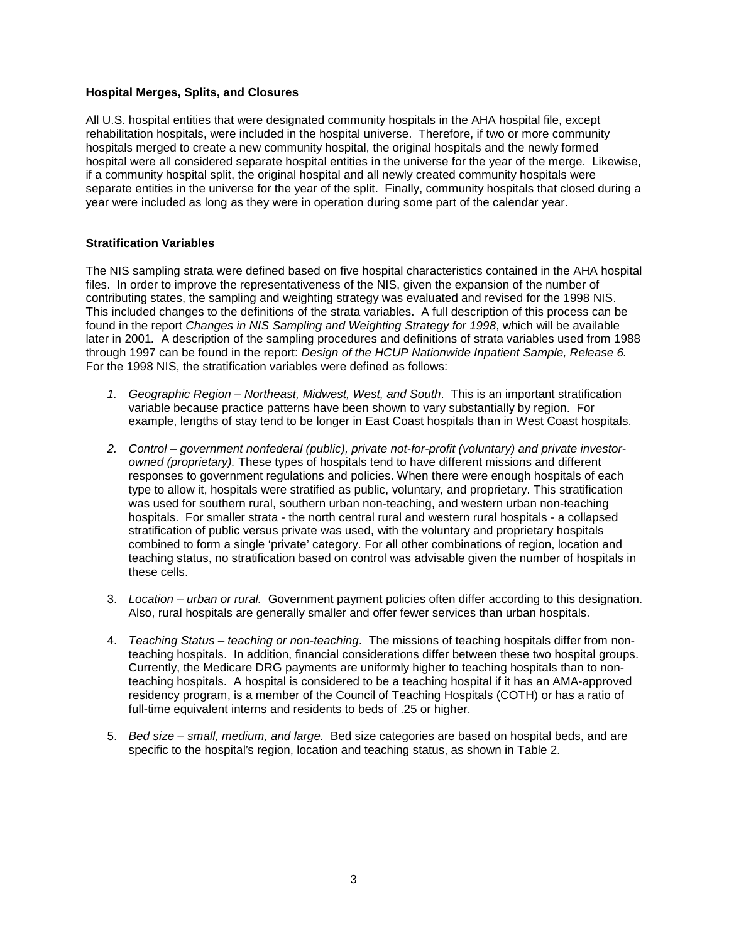#### **Hospital Merges, Splits, and Closures**

All U.S. hospital entities that were designated community hospitals in the AHA hospital file, except rehabilitation hospitals, were included in the hospital universe. Therefore, if two or more community hospitals merged to create a new community hospital, the original hospitals and the newly formed hospital were all considered separate hospital entities in the universe for the year of the merge. Likewise, if a community hospital split, the original hospital and all newly created community hospitals were separate entities in the universe for the year of the split. Finally, community hospitals that closed during a year were included as long as they were in operation during some part of the calendar year.

### **Stratification Variables**

The NIS sampling strata were defined based on five hospital characteristics contained in the AHA hospital files. In order to improve the representativeness of the NIS, given the expansion of the number of contributing states, the sampling and weighting strategy was evaluated and revised for the 1998 NIS. This included changes to the definitions of the strata variables. A full description of this process can be found in the report Changes in NIS Sampling and Weighting Strategy for 1998, which will be available later in 2001. A description of the sampling procedures and definitions of strata variables used from 1988 through 1997 can be found in the report: Design of the HCUP Nationwide Inpatient Sample, Release 6. For the 1998 NIS, the stratification variables were defined as follows:

- 1. Geographic Region Northeast, Midwest, West, and South. This is an important stratification variable because practice patterns have been shown to vary substantially by region. For example, lengths of stay tend to be longer in East Coast hospitals than in West Coast hospitals.
- 2. Control government nonfederal (public), private not-for-profit (voluntary) and private investorowned (proprietary). These types of hospitals tend to have different missions and different responses to government regulations and policies. When there were enough hospitals of each type to allow it, hospitals were stratified as public, voluntary, and proprietary. This stratification was used for southern rural, southern urban non-teaching, and western urban non-teaching hospitals. For smaller strata - the north central rural and western rural hospitals - a collapsed stratification of public versus private was used, with the voluntary and proprietary hospitals combined to form a single 'private' category. For all other combinations of region, location and teaching status, no stratification based on control was advisable given the number of hospitals in these cells.
- 3. Location urban or rural. Government payment policies often differ according to this designation. Also, rural hospitals are generally smaller and offer fewer services than urban hospitals.
- 4. Teaching Status teaching or non-teaching. The missions of teaching hospitals differ from nonteaching hospitals. In addition, financial considerations differ between these two hospital groups. Currently, the Medicare DRG payments are uniformly higher to teaching hospitals than to nonteaching hospitals. A hospital is considered to be a teaching hospital if it has an AMA-approved residency program, is a member of the Council of Teaching Hospitals (COTH) or has a ratio of full-time equivalent interns and residents to beds of .25 or higher.
- 5. Bed size small, medium, and large. Bed size categories are based on hospital beds, and are specific to the hospital's region, location and teaching status, as shown in Table 2.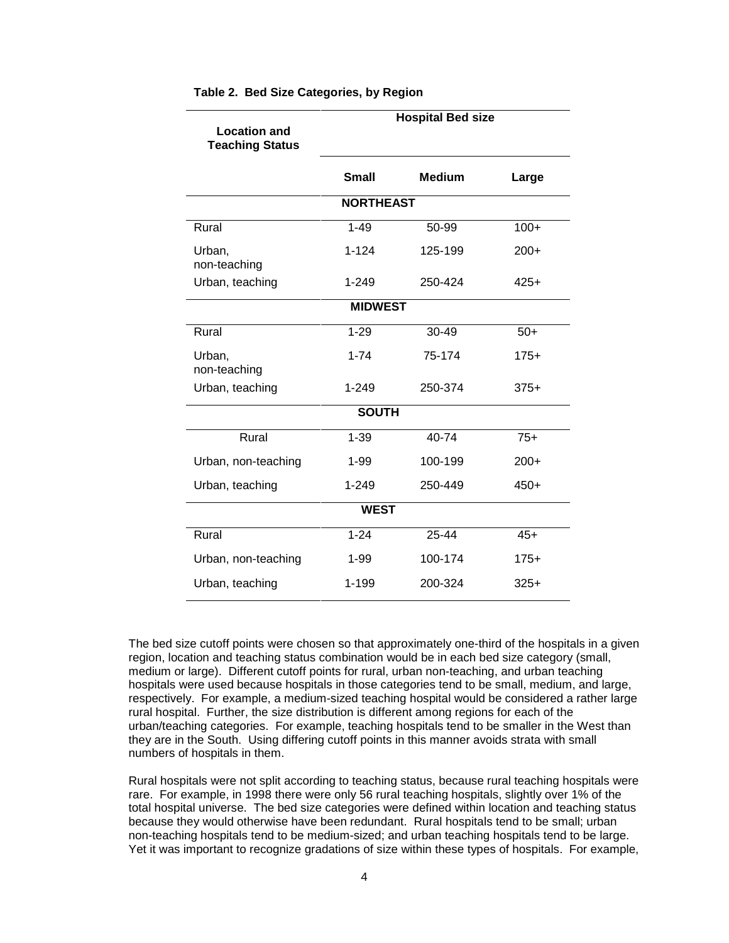|                                               |                  | <b>Hospital Bed size</b> |        |
|-----------------------------------------------|------------------|--------------------------|--------|
| <b>Location and</b><br><b>Teaching Status</b> |                  |                          |        |
|                                               |                  |                          |        |
|                                               | <b>Small</b>     | <b>Medium</b>            | Large  |
|                                               | <b>NORTHEAST</b> |                          |        |
| Rural                                         | $1 - 49$         | 50-99                    | $100+$ |
| Urban,<br>non-teaching                        | $1 - 124$        | 125-199                  | $200+$ |
| Urban, teaching                               | $1 - 249$        | 250-424                  | $425+$ |
|                                               | <b>MIDWEST</b>   |                          |        |
| Rural                                         | $1 - 29$         | 30-49                    | $50+$  |
| Urban,<br>non-teaching                        | $1 - 74$         | 75-174                   | $175+$ |
| Urban, teaching                               | $1 - 249$        | 250-374                  | $375+$ |
|                                               | <b>SOUTH</b>     |                          |        |
| Rural                                         | $1 - 39$         | 40-74                    | $75+$  |
| Urban, non-teaching                           | $1 - 99$         | 100-199                  | $200+$ |
| Urban, teaching                               | $1 - 249$        | 250-449                  | $450+$ |
|                                               | <b>WEST</b>      |                          |        |
| Rural                                         | $1 - 24$         | 25-44                    | $45+$  |
| Urban, non-teaching                           | $1 - 99$         | 100-174                  | $175+$ |
| Urban, teaching                               | $1 - 199$        | 200-324                  | $325+$ |

#### **Table 2. Bed Size Categories, by Region**

The bed size cutoff points were chosen so that approximately one-third of the hospitals in a given region, location and teaching status combination would be in each bed size category (small, medium or large). Different cutoff points for rural, urban non-teaching, and urban teaching hospitals were used because hospitals in those categories tend to be small, medium, and large, respectively. For example, a medium-sized teaching hospital would be considered a rather large rural hospital. Further, the size distribution is different among regions for each of the urban/teaching categories. For example, teaching hospitals tend to be smaller in the West than they are in the South. Using differing cutoff points in this manner avoids strata with small numbers of hospitals in them.

Rural hospitals were not split according to teaching status, because rural teaching hospitals were rare. For example, in 1998 there were only 56 rural teaching hospitals, slightly over 1% of the total hospital universe. The bed size categories were defined within location and teaching status because they would otherwise have been redundant. Rural hospitals tend to be small; urban non-teaching hospitals tend to be medium-sized; and urban teaching hospitals tend to be large. Yet it was important to recognize gradations of size within these types of hospitals. For example,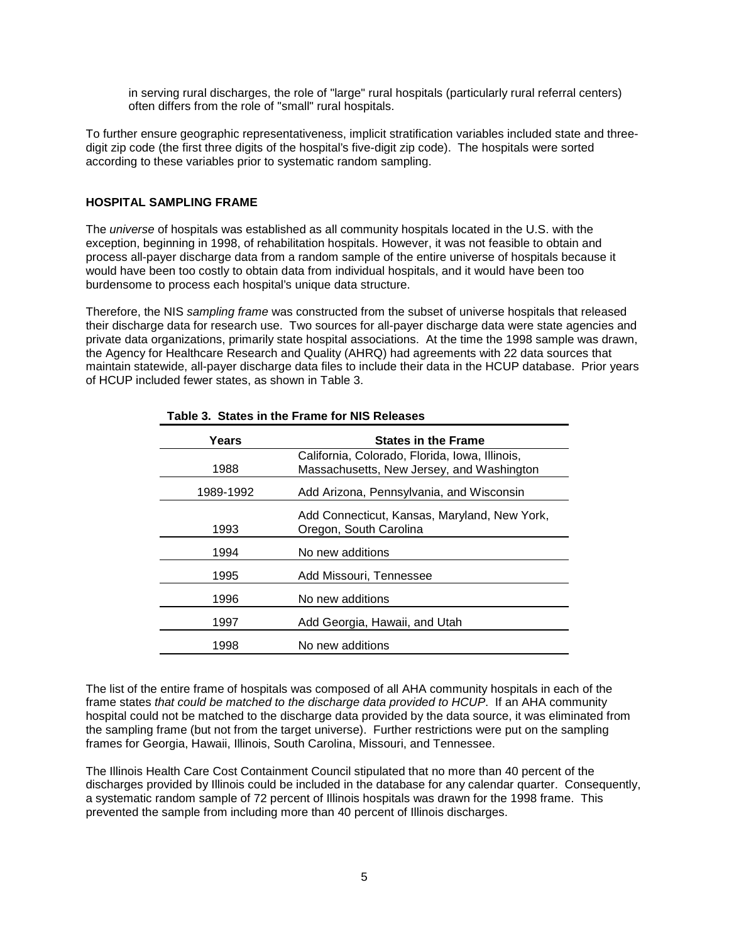in serving rural discharges, the role of "large" rural hospitals (particularly rural referral centers) often differs from the role of "small" rural hospitals.

To further ensure geographic representativeness, implicit stratification variables included state and threedigit zip code (the first three digits of the hospital's five-digit zip code). The hospitals were sorted according to these variables prior to systematic random sampling.

#### **HOSPITAL SAMPLING FRAME**

The *universe* of hospitals was established as all community hospitals located in the U.S. with the exception, beginning in 1998, of rehabilitation hospitals. However, it was not feasible to obtain and process all-payer discharge data from a random sample of the entire universe of hospitals because it would have been too costly to obtain data from individual hospitals, and it would have been too burdensome to process each hospital's unique data structure.

Therefore, the NIS sampling frame was constructed from the subset of universe hospitals that released their discharge data for research use. Two sources for all-payer discharge data were state agencies and private data organizations, primarily state hospital associations. At the time the 1998 sample was drawn, the Agency for Healthcare Research and Quality (AHRQ) had agreements with 22 data sources that maintain statewide, all-payer discharge data files to include their data in the HCUP database. Prior years of HCUP included fewer states, as shown in Table 3.

| Years     | <b>States in the Frame</b>                                                                  |
|-----------|---------------------------------------------------------------------------------------------|
| 1988      | California, Colorado, Florida, Iowa, Illinois,<br>Massachusetts, New Jersey, and Washington |
| 1989-1992 | Add Arizona, Pennsylvania, and Wisconsin                                                    |
| 1993      | Add Connecticut, Kansas, Maryland, New York,<br>Oregon, South Carolina                      |
| 1994      | No new additions                                                                            |
| 1995      | Add Missouri, Tennessee                                                                     |
| 1996      | No new additions                                                                            |
| 1997      | Add Georgia, Hawaii, and Utah                                                               |
| 1998      | No new additions                                                                            |

#### **Table 3. States in the Frame for NIS Releases**

The list of the entire frame of hospitals was composed of all AHA community hospitals in each of the frame states that could be matched to the discharge data provided to HCUP. If an AHA community hospital could not be matched to the discharge data provided by the data source, it was eliminated from the sampling frame (but not from the target universe). Further restrictions were put on the sampling frames for Georgia, Hawaii, Illinois, South Carolina, Missouri, and Tennessee.

The Illinois Health Care Cost Containment Council stipulated that no more than 40 percent of the discharges provided by Illinois could be included in the database for any calendar quarter. Consequently, a systematic random sample of 72 percent of Illinois hospitals was drawn for the 1998 frame. This prevented the sample from including more than 40 percent of Illinois discharges.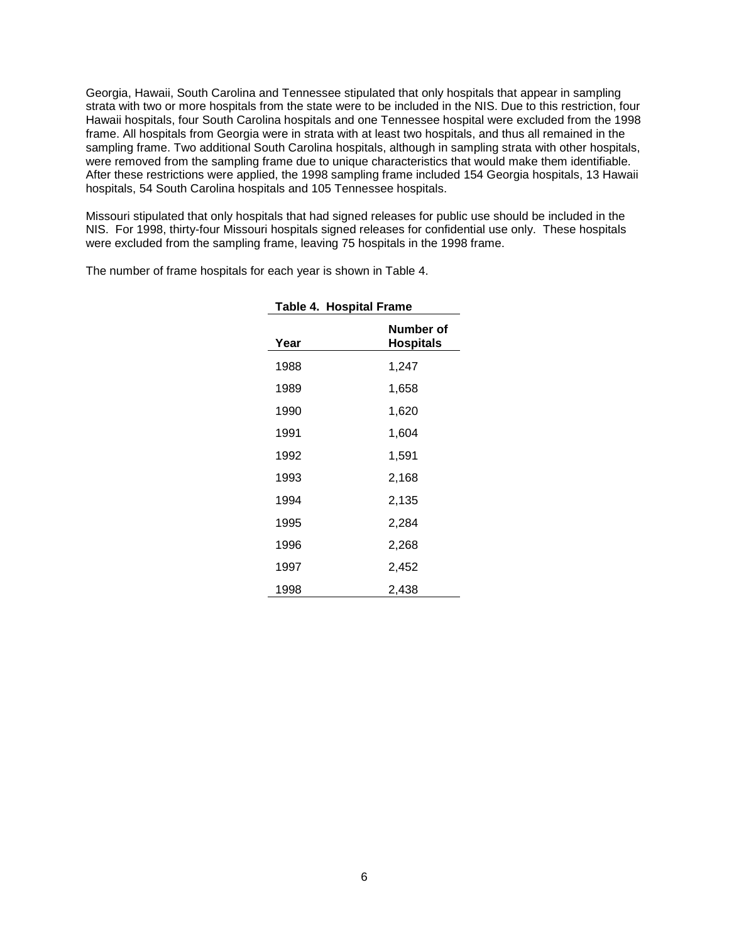Georgia, Hawaii, South Carolina and Tennessee stipulated that only hospitals that appear in sampling strata with two or more hospitals from the state were to be included in the NIS. Due to this restriction, four Hawaii hospitals, four South Carolina hospitals and one Tennessee hospital were excluded from the 1998 frame. All hospitals from Georgia were in strata with at least two hospitals, and thus all remained in the sampling frame. Two additional South Carolina hospitals, although in sampling strata with other hospitals, were removed from the sampling frame due to unique characteristics that would make them identifiable. After these restrictions were applied, the 1998 sampling frame included 154 Georgia hospitals, 13 Hawaii hospitals, 54 South Carolina hospitals and 105 Tennessee hospitals.

Missouri stipulated that only hospitals that had signed releases for public use should be included in the NIS. For 1998, thirty-four Missouri hospitals signed releases for confidential use only. These hospitals were excluded from the sampling frame, leaving 75 hospitals in the 1998 frame.

|      | <b>Table 4. Hospital Frame</b> |  |  |
|------|--------------------------------|--|--|
| Year | Number of<br>Hospitals         |  |  |
| 1988 | 1,247                          |  |  |
| 1989 | 1,658                          |  |  |
| 1990 | 1,620                          |  |  |
| 1991 | 1,604                          |  |  |
| 1992 | 1,591                          |  |  |
| 1993 | 2,168                          |  |  |
| 1994 | 2,135                          |  |  |
| 1995 | 2,284                          |  |  |
| 1996 | 2,268                          |  |  |
| 1997 | 2,452                          |  |  |
| 1998 | 2,438                          |  |  |

The number of frame hospitals for each year is shown in Table 4.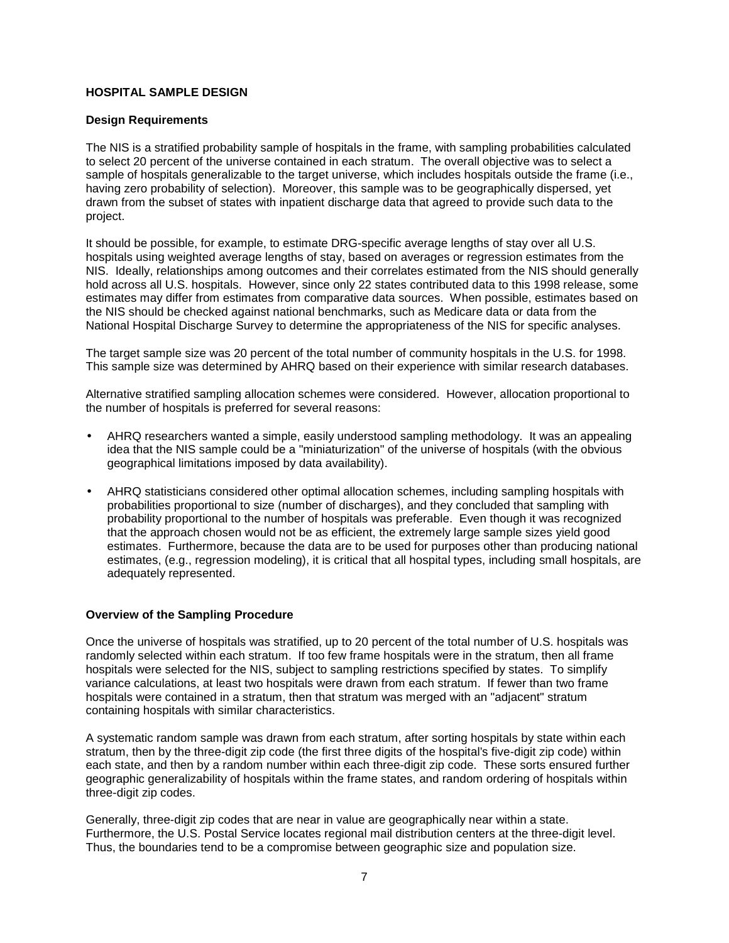### **HOSPITAL SAMPLE DESIGN**

#### **Design Requirements**

The NIS is a stratified probability sample of hospitals in the frame, with sampling probabilities calculated to select 20 percent of the universe contained in each stratum. The overall objective was to select a sample of hospitals generalizable to the target universe, which includes hospitals outside the frame (i.e., having zero probability of selection). Moreover, this sample was to be geographically dispersed, yet drawn from the subset of states with inpatient discharge data that agreed to provide such data to the project.

It should be possible, for example, to estimate DRG-specific average lengths of stay over all U.S. hospitals using weighted average lengths of stay, based on averages or regression estimates from the NIS. Ideally, relationships among outcomes and their correlates estimated from the NIS should generally hold across all U.S. hospitals. However, since only 22 states contributed data to this 1998 release, some estimates may differ from estimates from comparative data sources. When possible, estimates based on the NIS should be checked against national benchmarks, such as Medicare data or data from the National Hospital Discharge Survey to determine the appropriateness of the NIS for specific analyses.

The target sample size was 20 percent of the total number of community hospitals in the U.S. for 1998. This sample size was determined by AHRQ based on their experience with similar research databases.

Alternative stratified sampling allocation schemes were considered. However, allocation proportional to the number of hospitals is preferred for several reasons:

- AHRQ researchers wanted a simple, easily understood sampling methodology. It was an appealing idea that the NIS sample could be a "miniaturization" of the universe of hospitals (with the obvious geographical limitations imposed by data availability).
- AHRQ statisticians considered other optimal allocation schemes, including sampling hospitals with probabilities proportional to size (number of discharges), and they concluded that sampling with probability proportional to the number of hospitals was preferable. Even though it was recognized that the approach chosen would not be as efficient, the extremely large sample sizes yield good estimates. Furthermore, because the data are to be used for purposes other than producing national estimates, (e.g., regression modeling), it is critical that all hospital types, including small hospitals, are adequately represented.

#### **Overview of the Sampling Procedure**

Once the universe of hospitals was stratified, up to 20 percent of the total number of U.S. hospitals was randomly selected within each stratum. If too few frame hospitals were in the stratum, then all frame hospitals were selected for the NIS, subject to sampling restrictions specified by states. To simplify variance calculations, at least two hospitals were drawn from each stratum. If fewer than two frame hospitals were contained in a stratum, then that stratum was merged with an "adjacent" stratum containing hospitals with similar characteristics.

A systematic random sample was drawn from each stratum, after sorting hospitals by state within each stratum, then by the three-digit zip code (the first three digits of the hospital's five-digit zip code) within each state, and then by a random number within each three-digit zip code. These sorts ensured further geographic generalizability of hospitals within the frame states, and random ordering of hospitals within three-digit zip codes.

Generally, three-digit zip codes that are near in value are geographically near within a state. Furthermore, the U.S. Postal Service locates regional mail distribution centers at the three-digit level. Thus, the boundaries tend to be a compromise between geographic size and population size.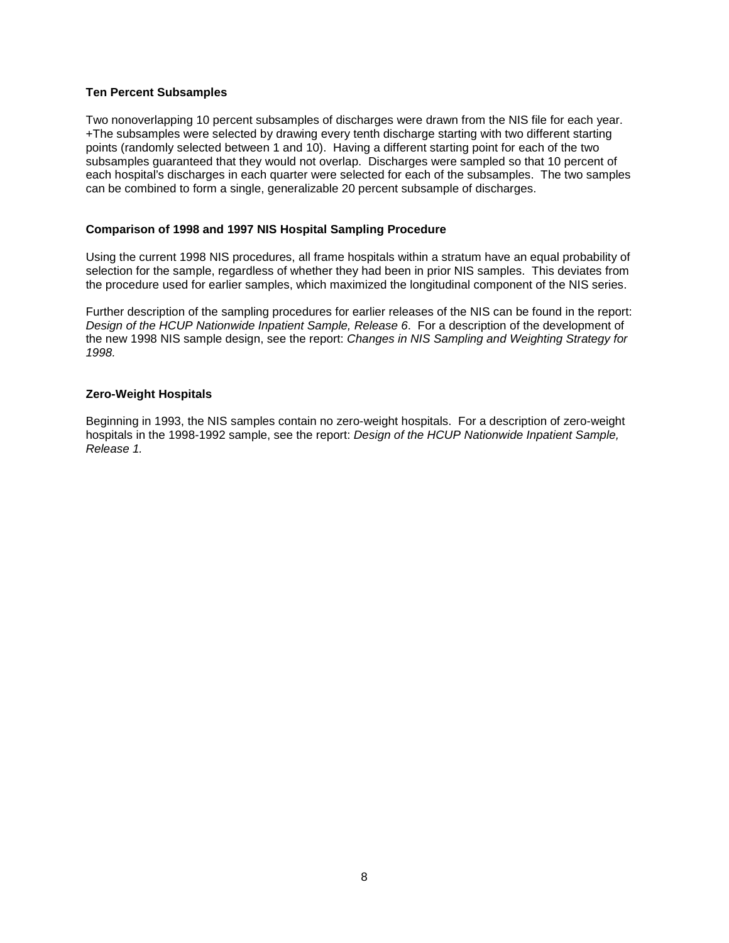#### **Ten Percent Subsamples**

Two nonoverlapping 10 percent subsamples of discharges were drawn from the NIS file for each year. +The subsamples were selected by drawing every tenth discharge starting with two different starting points (randomly selected between 1 and 10). Having a different starting point for each of the two subsamples guaranteed that they would not overlap. Discharges were sampled so that 10 percent of each hospital's discharges in each quarter were selected for each of the subsamples. The two samples can be combined to form a single, generalizable 20 percent subsample of discharges.

#### **Comparison of 1998 and 1997 NIS Hospital Sampling Procedure**

Using the current 1998 NIS procedures, all frame hospitals within a stratum have an equal probability of selection for the sample, regardless of whether they had been in prior NIS samples. This deviates from the procedure used for earlier samples, which maximized the longitudinal component of the NIS series.

Further description of the sampling procedures for earlier releases of the NIS can be found in the report: Design of the HCUP Nationwide Inpatient Sample, Release 6. For a description of the development of the new 1998 NIS sample design, see the report: Changes in NIS Sampling and Weighting Strategy for 1998.

#### **Zero-Weight Hospitals**

Beginning in 1993, the NIS samples contain no zero-weight hospitals. For a description of zero-weight hospitals in the 1998-1992 sample, see the report: Design of the HCUP Nationwide Inpatient Sample, Release 1.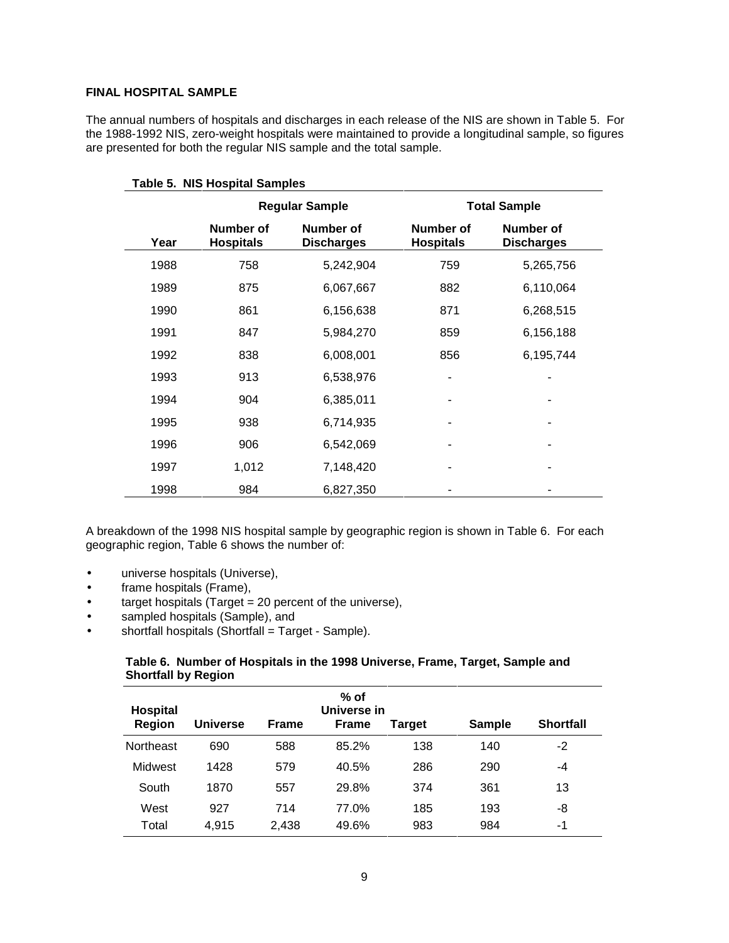#### **FINAL HOSPITAL SAMPLE**

The annual numbers of hospitals and discharges in each release of the NIS are shown in Table 5. For the 1988-1992 NIS, zero-weight hospitals were maintained to provide a longitudinal sample, so figures are presented for both the regular NIS sample and the total sample.

| <b>Table 5. NIS Hospital Samples</b> |                               |                                |                               |                                |  |
|--------------------------------------|-------------------------------|--------------------------------|-------------------------------|--------------------------------|--|
|                                      | <b>Regular Sample</b>         | <b>Total Sample</b>            |                               |                                |  |
| Year                                 | Number of<br><b>Hospitals</b> | Number of<br><b>Discharges</b> | Number of<br><b>Hospitals</b> | Number of<br><b>Discharges</b> |  |
| 1988                                 | 758                           | 5,242,904                      | 759                           | 5,265,756                      |  |
| 1989                                 | 875                           | 6,067,667                      | 882                           | 6,110,064                      |  |
| 1990                                 | 861                           | 6,156,638                      | 871                           | 6,268,515                      |  |
| 1991                                 | 847                           | 5,984,270                      | 859                           | 6,156,188                      |  |
| 1992                                 | 838                           | 6,008,001                      | 856                           | 6,195,744                      |  |
| 1993                                 | 913                           | 6,538,976                      |                               |                                |  |
| 1994                                 | 904                           | 6,385,011                      |                               |                                |  |
| 1995                                 | 938                           | 6,714,935                      |                               |                                |  |
| 1996                                 | 906                           | 6,542,069                      |                               |                                |  |
| 1997                                 | 1,012                         | 7,148,420                      |                               |                                |  |
| 1998                                 | 984                           | 6,827,350                      |                               |                                |  |

A breakdown of the 1998 NIS hospital sample by geographic region is shown in Table 6. For each geographic region, Table 6 shows the number of:

- universe hospitals (Universe),
- frame hospitals (Frame),
- target hospitals (Target = 20 percent of the universe),
- sampled hospitals (Sample), and
- $\bullet$  shortfall hospitals (Shortfall = Target Sample).

## **Table 6. Number of Hospitals in the 1998 Universe, Frame, Target, Sample and Shortfall by Region**

| <b>Hospital</b>  |                 |              | $%$ of<br>Universe in |        |               |                  |
|------------------|-----------------|--------------|-----------------------|--------|---------------|------------------|
| <b>Region</b>    | <b>Universe</b> | <b>Frame</b> | <b>Frame</b>          | Target | <b>Sample</b> | <b>Shortfall</b> |
| <b>Northeast</b> | 690             | 588          | 85.2%                 | 138    | 140           | -2               |
| Midwest          | 1428            | 579          | 40.5%                 | 286    | 290           | -4               |
| South            | 1870            | 557          | 29.8%                 | 374    | 361           | 13               |
| West             | 927             | 714          | 77.0%                 | 185    | 193           | -8               |
| Total            | 4.915           | 2,438        | 49.6%                 | 983    | 984           | -1               |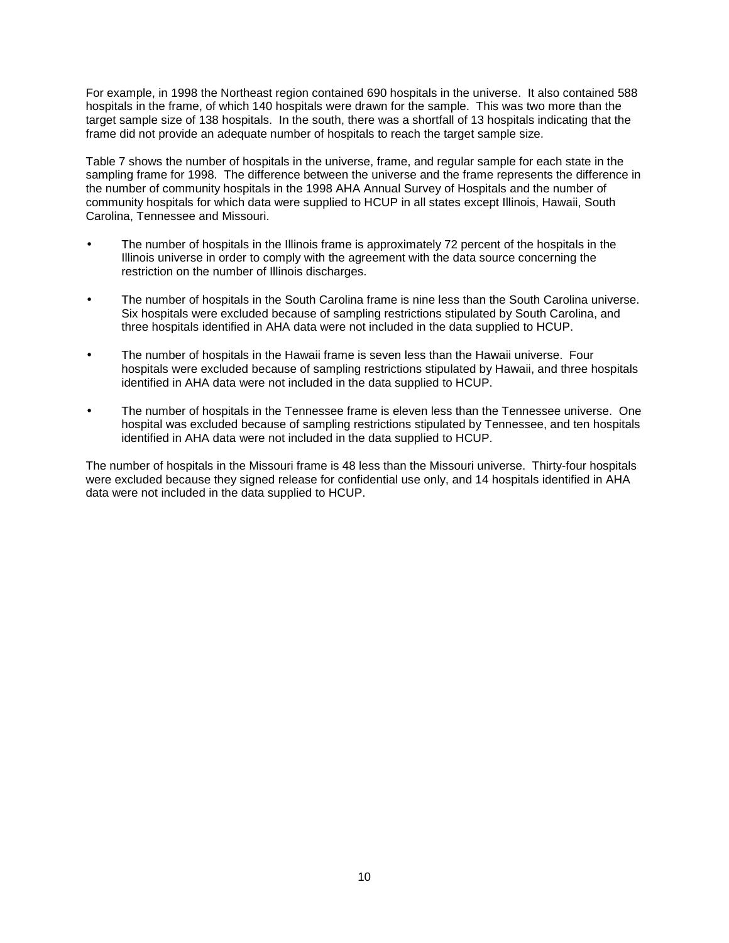For example, in 1998 the Northeast region contained 690 hospitals in the universe. It also contained 588 hospitals in the frame, of which 140 hospitals were drawn for the sample. This was two more than the target sample size of 138 hospitals. In the south, there was a shortfall of 13 hospitals indicating that the frame did not provide an adequate number of hospitals to reach the target sample size.

Table 7 shows the number of hospitals in the universe, frame, and regular sample for each state in the sampling frame for 1998. The difference between the universe and the frame represents the difference in the number of community hospitals in the 1998 AHA Annual Survey of Hospitals and the number of community hospitals for which data were supplied to HCUP in all states except Illinois, Hawaii, South Carolina, Tennessee and Missouri.

- The number of hospitals in the Illinois frame is approximately 72 percent of the hospitals in the Illinois universe in order to comply with the agreement with the data source concerning the restriction on the number of Illinois discharges.
- The number of hospitals in the South Carolina frame is nine less than the South Carolina universe. Six hospitals were excluded because of sampling restrictions stipulated by South Carolina, and three hospitals identified in AHA data were not included in the data supplied to HCUP.
- The number of hospitals in the Hawaii frame is seven less than the Hawaii universe. Four hospitals were excluded because of sampling restrictions stipulated by Hawaii, and three hospitals identified in AHA data were not included in the data supplied to HCUP.
- The number of hospitals in the Tennessee frame is eleven less than the Tennessee universe. One hospital was excluded because of sampling restrictions stipulated by Tennessee, and ten hospitals identified in AHA data were not included in the data supplied to HCUP.

The number of hospitals in the Missouri frame is 48 less than the Missouri universe. Thirty-four hospitals were excluded because they signed release for confidential use only, and 14 hospitals identified in AHA data were not included in the data supplied to HCUP.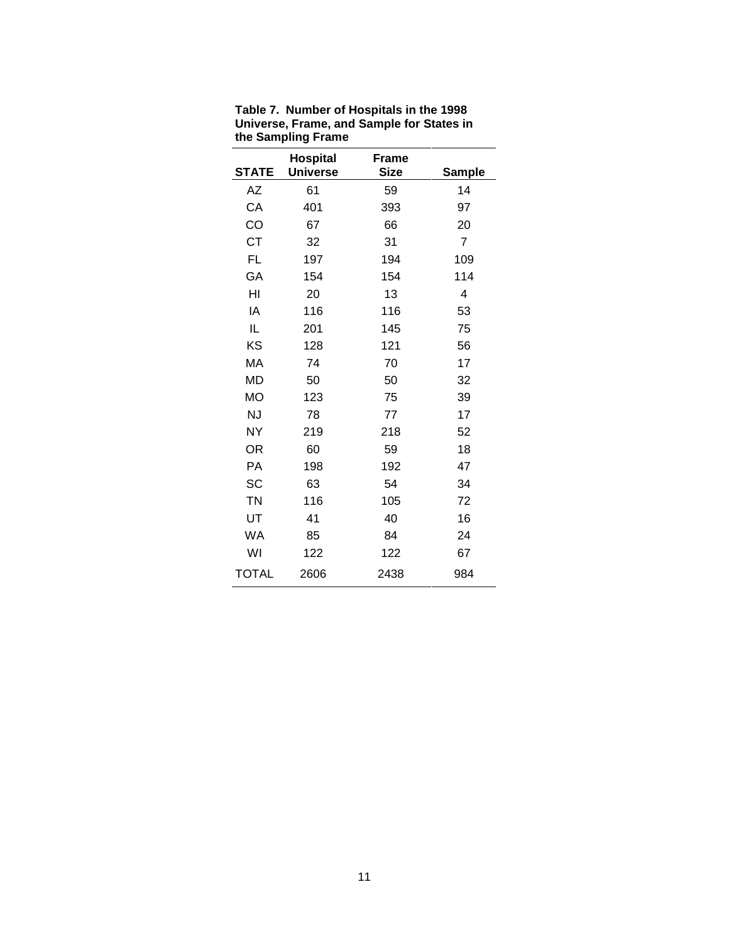| <b>STATE</b> | <b>Hospital</b><br><b>Universe</b> | <b>Frame</b><br><b>Size</b> | <b>Sample</b>  |
|--------------|------------------------------------|-----------------------------|----------------|
| AΖ           | 61                                 | 59                          | 14             |
| CA           | 401                                | 393                         | 97             |
| CO           | 67                                 | 66                          | 20             |
| СT           | 32                                 | 31                          | $\overline{7}$ |
| FL           | 197                                | 194                         | 109            |
| GA           | 154                                | 154                         | 114            |
| HI           | 20                                 | 13                          | 4              |
| IA           | 116                                | 116                         | 53             |
|              |                                    |                             |                |
| IL           | 201                                | 145                         | 75             |
| KS           | 128                                | 121                         | 56             |
| МA           | 74                                 | 70                          | 17             |
| <b>MD</b>    | 50                                 | 50                          | 32             |
| <b>MO</b>    | 123                                | 75                          | 39             |
| <b>NJ</b>    | 78                                 | 77                          | 17             |
| <b>NY</b>    | 219                                | 218                         | 52             |
| <b>OR</b>    | 60                                 | 59                          | 18             |
| PА           | 198                                | 192                         | 47             |
| SC           | 63                                 | 54                          | 34             |
| <b>TN</b>    | 116                                | 105                         | 72             |
| UT           | 41                                 | 40                          | 16             |
| WA           | 85                                 | 84                          | 24             |
| WI           | 122                                | 122                         | 67             |
| <b>TOTAL</b> | 2606                               | 2438                        | 984            |

**Table 7. Number of Hospitals in the 1998 Universe, Frame, and Sample for States in the Sampling Frame**

 $\mathbb{R}$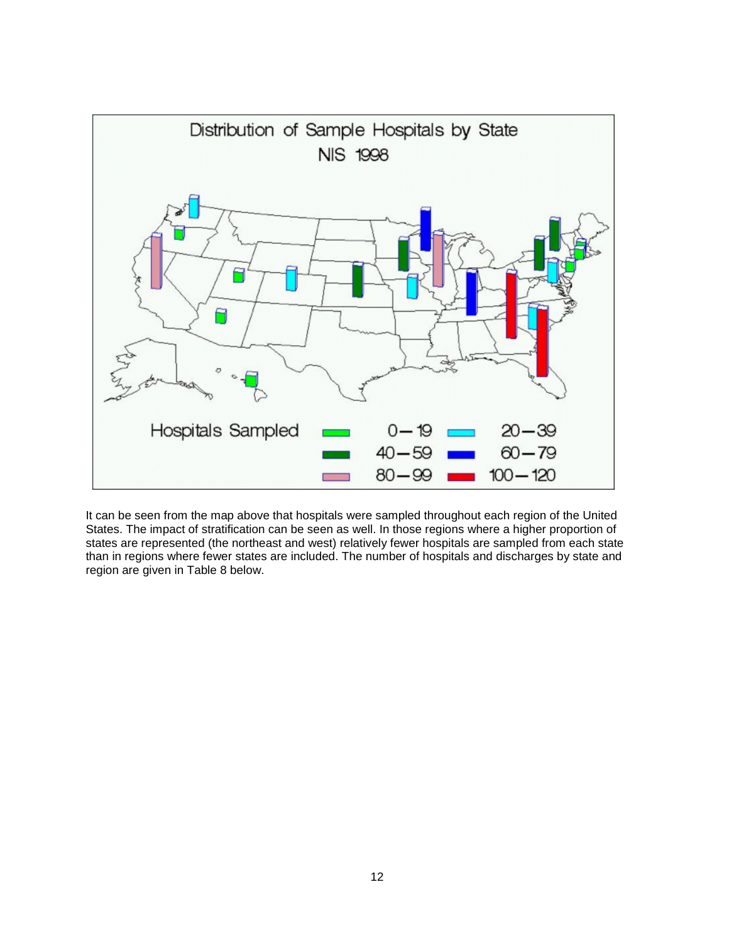

It can be seen from the map above that hospitals were sampled throughout each region of the United States. The impact of stratification can be seen as well. In those regions where a higher proportion of states are represented (the northeast and west) relatively fewer hospitals are sampled from each state than in regions where fewer states are included. The number of hospitals and discharges by state and region are given in Table 8 below.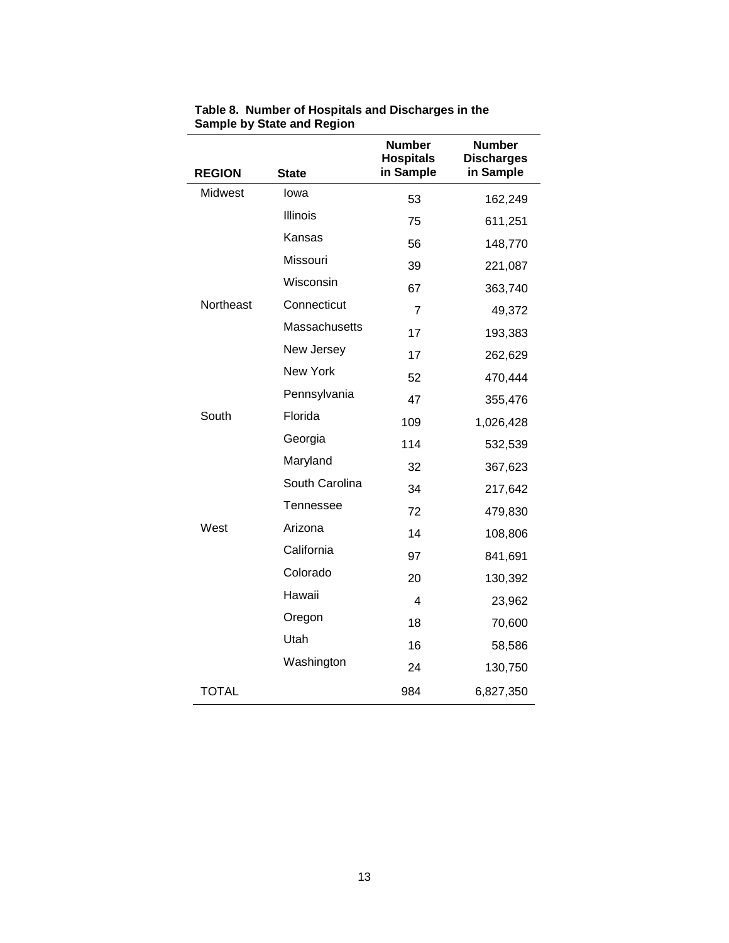| <b>REGION</b> | <b>State</b>    | <b>Number</b><br><b>Hospitals</b><br>in Sample | <b>Number</b><br><b>Discharges</b><br>in Sample |
|---------------|-----------------|------------------------------------------------|-------------------------------------------------|
| Midwest       | lowa            | 53                                             | 162,249                                         |
|               | Illinois        | 75                                             | 611,251                                         |
|               | Kansas          | 56                                             | 148,770                                         |
|               | Missouri        | 39                                             | 221,087                                         |
|               | Wisconsin       | 67                                             | 363,740                                         |
| Northeast     | Connecticut     | $\overline{7}$                                 | 49,372                                          |
|               | Massachusetts   | 17                                             | 193,383                                         |
|               | New Jersey      | 17                                             | 262,629                                         |
|               | <b>New York</b> | 52                                             | 470,444                                         |
|               | Pennsylvania    | 47                                             | 355,476                                         |
| South         | Florida         | 109                                            | 1,026,428                                       |
|               | Georgia         | 114                                            | 532,539                                         |
|               | Maryland        | 32                                             | 367,623                                         |
|               | South Carolina  | 34                                             | 217,642                                         |
|               | Tennessee       | 72                                             | 479,830                                         |
| West          | Arizona         | 14                                             | 108,806                                         |
|               | California      | 97                                             | 841,691                                         |
|               | Colorado        | 20                                             | 130,392                                         |
|               | Hawaii          | 4                                              | 23,962                                          |
|               | Oregon          | 18                                             | 70,600                                          |
|               | Utah            | 16                                             | 58,586                                          |
|               | Washington      | 24                                             | 130,750                                         |
| <b>TOTAL</b>  |                 | 984                                            | 6,827,350                                       |
|               |                 |                                                |                                                 |

**Table 8. Number of Hospitals and Discharges in the Sample by State and Region**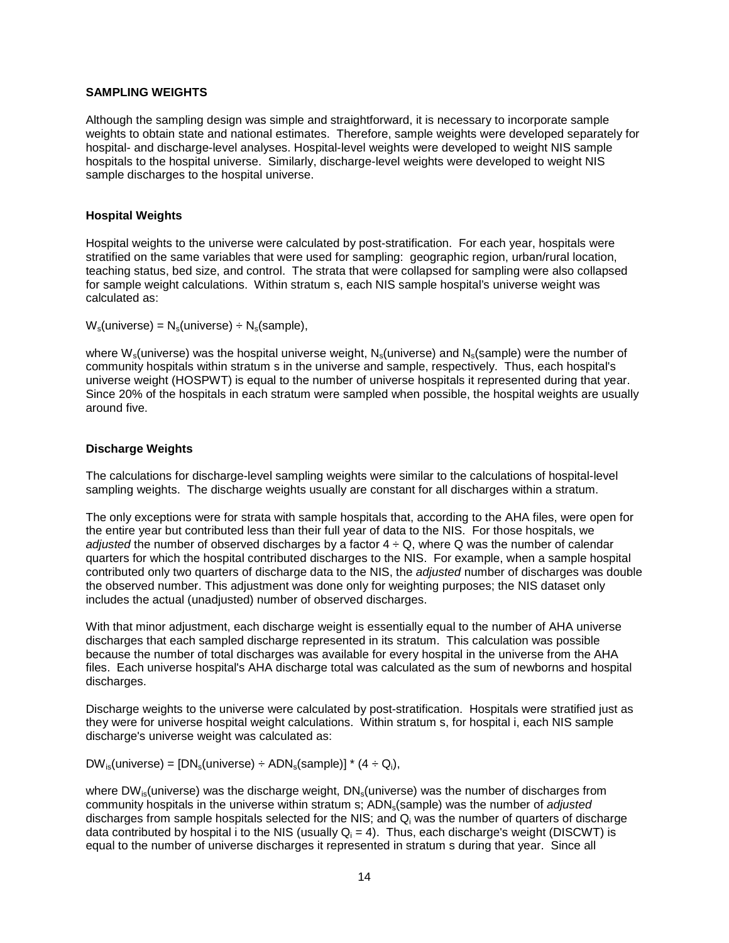#### **SAMPLING WEIGHTS**

Although the sampling design was simple and straightforward, it is necessary to incorporate sample weights to obtain state and national estimates. Therefore, sample weights were developed separately for hospital- and discharge-level analyses. Hospital-level weights were developed to weight NIS sample hospitals to the hospital universe. Similarly, discharge-level weights were developed to weight NIS sample discharges to the hospital universe.

#### **Hospital Weights**

Hospital weights to the universe were calculated by post-stratification. For each year, hospitals were stratified on the same variables that were used for sampling: geographic region, urban/rural location, teaching status, bed size, and control. The strata that were collapsed for sampling were also collapsed for sample weight calculations. Within stratum s, each NIS sample hospital's universe weight was calculated as:

 $W_s$ (universe) =  $N_s$ (universe) ÷  $N_s$ (sample),

where  $W_s$ (universe) was the hospital universe weight,  $N_s$ (universe) and  $N_s$ (sample) were the number of community hospitals within stratum s in the universe and sample, respectively. Thus, each hospital's universe weight (HOSPWT) is equal to the number of universe hospitals it represented during that year. Since 20% of the hospitals in each stratum were sampled when possible, the hospital weights are usually around five.

#### **Discharge Weights**

The calculations for discharge-level sampling weights were similar to the calculations of hospital-level sampling weights. The discharge weights usually are constant for all discharges within a stratum.

The only exceptions were for strata with sample hospitals that, according to the AHA files, were open for the entire year but contributed less than their full year of data to the NIS. For those hospitals, we adjusted the number of observed discharges by a factor  $4 \div Q$ , where Q was the number of calendar quarters for which the hospital contributed discharges to the NIS. For example, when a sample hospital contributed only two quarters of discharge data to the NIS, the adjusted number of discharges was double the observed number. This adjustment was done only for weighting purposes; the NIS dataset only includes the actual (unadjusted) number of observed discharges.

With that minor adjustment, each discharge weight is essentially equal to the number of AHA universe discharges that each sampled discharge represented in its stratum. This calculation was possible because the number of total discharges was available for every hospital in the universe from the AHA files. Each universe hospital's AHA discharge total was calculated as the sum of newborns and hospital discharges.

Discharge weights to the universe were calculated by post-stratification. Hospitals were stratified just as they were for universe hospital weight calculations. Within stratum s, for hospital i, each NIS sample discharge's universe weight was calculated as:

 $DW_{\text{is}}(\text{universe}) = [DN_{\text{si}}(\text{universe}) \div \text{ADM}_{\text{si}}(\text{sample})] * (4 \div \text{Q}_{\text{i}}),$ 

where DW<sub>is</sub>(universe) was the discharge weight,  $DN_s$ (universe) was the number of discharges from community hospitals in the universe within stratum s; ADN<sub>s</sub>(sample) was the number of *adjusted* discharges from sample hospitals selected for the NIS; and  $Q_i$  was the number of quarters of discharge data contributed by hospital i to the NIS (usually  $Q_i = 4$ ). Thus, each discharge's weight (DISCWT) is equal to the number of universe discharges it represented in stratum s during that year. Since all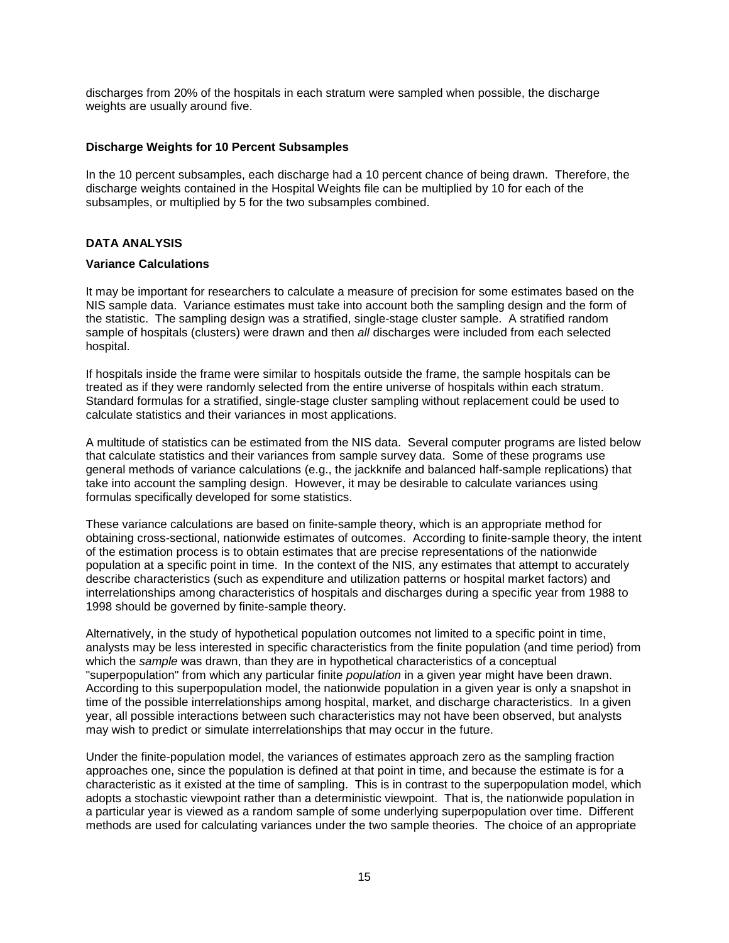discharges from 20% of the hospitals in each stratum were sampled when possible, the discharge weights are usually around five.

#### **Discharge Weights for 10 Percent Subsamples**

In the 10 percent subsamples, each discharge had a 10 percent chance of being drawn. Therefore, the discharge weights contained in the Hospital Weights file can be multiplied by 10 for each of the subsamples, or multiplied by 5 for the two subsamples combined.

## **DATA ANALYSIS**

#### **Variance Calculations**

It may be important for researchers to calculate a measure of precision for some estimates based on the NIS sample data. Variance estimates must take into account both the sampling design and the form of the statistic. The sampling design was a stratified, single-stage cluster sample. A stratified random sample of hospitals (clusters) were drawn and then all discharges were included from each selected hospital.

If hospitals inside the frame were similar to hospitals outside the frame, the sample hospitals can be treated as if they were randomly selected from the entire universe of hospitals within each stratum. Standard formulas for a stratified, single-stage cluster sampling without replacement could be used to calculate statistics and their variances in most applications.

A multitude of statistics can be estimated from the NIS data. Several computer programs are listed below that calculate statistics and their variances from sample survey data. Some of these programs use general methods of variance calculations (e.g., the jackknife and balanced half-sample replications) that take into account the sampling design. However, it may be desirable to calculate variances using formulas specifically developed for some statistics.

These variance calculations are based on finite-sample theory, which is an appropriate method for obtaining cross-sectional, nationwide estimates of outcomes. According to finite-sample theory, the intent of the estimation process is to obtain estimates that are precise representations of the nationwide population at a specific point in time. In the context of the NIS, any estimates that attempt to accurately describe characteristics (such as expenditure and utilization patterns or hospital market factors) and interrelationships among characteristics of hospitals and discharges during a specific year from 1988 to 1998 should be governed by finite-sample theory.

Alternatively, in the study of hypothetical population outcomes not limited to a specific point in time, analysts may be less interested in specific characteristics from the finite population (and time period) from which the sample was drawn, than they are in hypothetical characteristics of a conceptual "superpopulation" from which any particular finite *population* in a given year might have been drawn. According to this superpopulation model, the nationwide population in a given year is only a snapshot in time of the possible interrelationships among hospital, market, and discharge characteristics. In a given year, all possible interactions between such characteristics may not have been observed, but analysts may wish to predict or simulate interrelationships that may occur in the future.

Under the finite-population model, the variances of estimates approach zero as the sampling fraction approaches one, since the population is defined at that point in time, and because the estimate is for a characteristic as it existed at the time of sampling. This is in contrast to the superpopulation model, which adopts a stochastic viewpoint rather than a deterministic viewpoint. That is, the nationwide population in a particular year is viewed as a random sample of some underlying superpopulation over time. Different methods are used for calculating variances under the two sample theories. The choice of an appropriate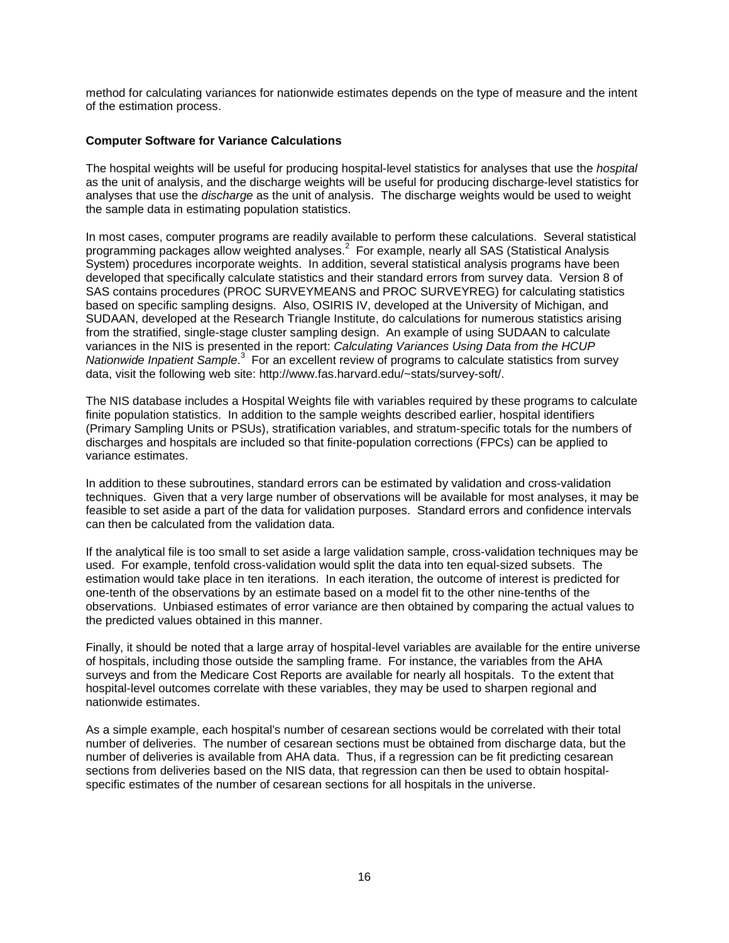method for calculating variances for nationwide estimates depends on the type of measure and the intent of the estimation process.

#### **Computer Software for Variance Calculations**

The hospital weights will be useful for producing hospital-level statistics for analyses that use the hospital as the unit of analysis, and the discharge weights will be useful for producing discharge-level statistics for analyses that use the discharge as the unit of analysis. The discharge weights would be used to weight the sample data in estimating population statistics.

In most cases, computer programs are readily available to perform these calculations. Several statistical programming packages allow weighted analyses.<sup>2</sup> For example, nearly all SAS (Statistical Analysis System) procedures incorporate weights. In addition, several statistical analysis programs have been developed that specifically calculate statistics and their standard errors from survey data. Version 8 of SAS contains procedures (PROC SURVEYMEANS and PROC SURVEYREG) for calculating statistics based on specific sampling designs. Also, OSIRIS IV, developed at the University of Michigan, and SUDAAN, developed at the Research Triangle Institute, do calculations for numerous statistics arising from the stratified, single-stage cluster sampling design. An example of using SUDAAN to calculate variances in the NIS is presented in the report: Calculating Variances Using Data from the HCUP Nationwide Inpatient Sample.<sup>3</sup> For an excellent review of programs to calculate statistics from survey data, visit the following web site: http://www.fas.harvard.edu/~stats/survey-soft/.

The NIS database includes a Hospital Weights file with variables required by these programs to calculate finite population statistics. In addition to the sample weights described earlier, hospital identifiers (Primary Sampling Units or PSUs), stratification variables, and stratum-specific totals for the numbers of discharges and hospitals are included so that finite-population corrections (FPCs) can be applied to variance estimates.

In addition to these subroutines, standard errors can be estimated by validation and cross-validation techniques. Given that a very large number of observations will be available for most analyses, it may be feasible to set aside a part of the data for validation purposes. Standard errors and confidence intervals can then be calculated from the validation data.

If the analytical file is too small to set aside a large validation sample, cross-validation techniques may be used. For example, tenfold cross-validation would split the data into ten equal-sized subsets. The estimation would take place in ten iterations. In each iteration, the outcome of interest is predicted for one-tenth of the observations by an estimate based on a model fit to the other nine-tenths of the observations. Unbiased estimates of error variance are then obtained by comparing the actual values to the predicted values obtained in this manner.

Finally, it should be noted that a large array of hospital-level variables are available for the entire universe of hospitals, including those outside the sampling frame. For instance, the variables from the AHA surveys and from the Medicare Cost Reports are available for nearly all hospitals. To the extent that hospital-level outcomes correlate with these variables, they may be used to sharpen regional and nationwide estimates.

As a simple example, each hospital's number of cesarean sections would be correlated with their total number of deliveries. The number of cesarean sections must be obtained from discharge data, but the number of deliveries is available from AHA data. Thus, if a regression can be fit predicting cesarean sections from deliveries based on the NIS data, that regression can then be used to obtain hospitalspecific estimates of the number of cesarean sections for all hospitals in the universe.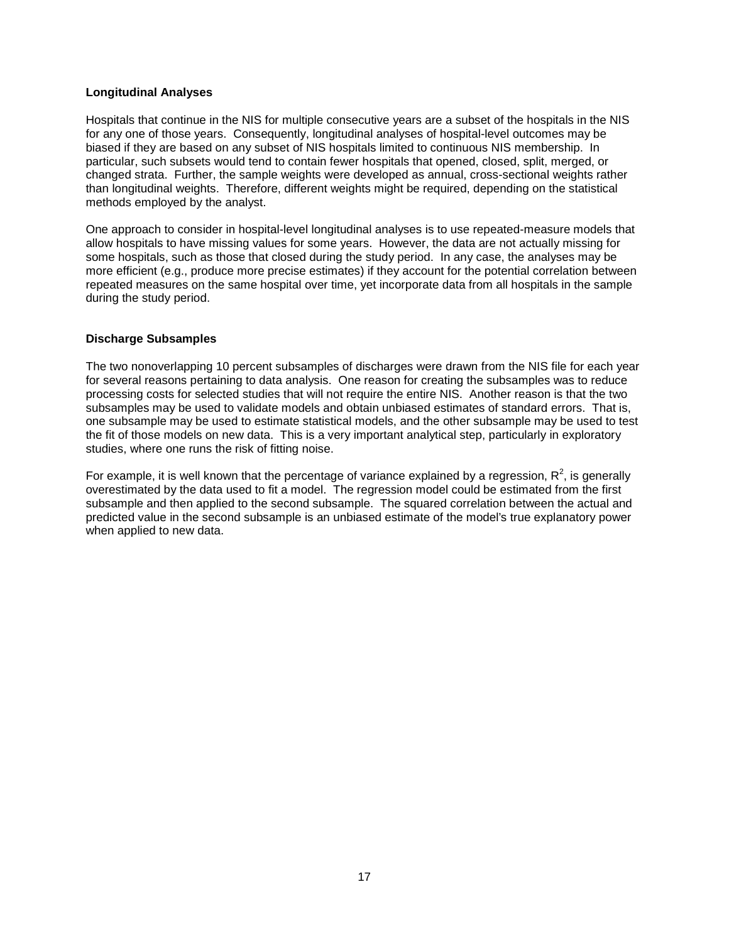#### **Longitudinal Analyses**

Hospitals that continue in the NIS for multiple consecutive years are a subset of the hospitals in the NIS for any one of those years. Consequently, longitudinal analyses of hospital-level outcomes may be biased if they are based on any subset of NIS hospitals limited to continuous NIS membership. In particular, such subsets would tend to contain fewer hospitals that opened, closed, split, merged, or changed strata. Further, the sample weights were developed as annual, cross-sectional weights rather than longitudinal weights. Therefore, different weights might be required, depending on the statistical methods employed by the analyst.

One approach to consider in hospital-level longitudinal analyses is to use repeated-measure models that allow hospitals to have missing values for some years. However, the data are not actually missing for some hospitals, such as those that closed during the study period. In any case, the analyses may be more efficient (e.g., produce more precise estimates) if they account for the potential correlation between repeated measures on the same hospital over time, yet incorporate data from all hospitals in the sample during the study period.

#### **Discharge Subsamples**

The two nonoverlapping 10 percent subsamples of discharges were drawn from the NIS file for each year for several reasons pertaining to data analysis. One reason for creating the subsamples was to reduce processing costs for selected studies that will not require the entire NIS. Another reason is that the two subsamples may be used to validate models and obtain unbiased estimates of standard errors. That is, one subsample may be used to estimate statistical models, and the other subsample may be used to test the fit of those models on new data. This is a very important analytical step, particularly in exploratory studies, where one runs the risk of fitting noise.

For example, it is well known that the percentage of variance explained by a regression,  $R^2$ , is generally overestimated by the data used to fit a model. The regression model could be estimated from the first subsample and then applied to the second subsample. The squared correlation between the actual and predicted value in the second subsample is an unbiased estimate of the model's true explanatory power when applied to new data.